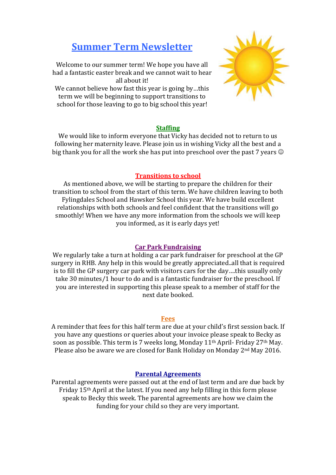# **Summer Term Newsletter**

Welcome to our summer term! We hope you have all had a fantastic easter break and we cannot wait to hear all about it! We cannot believe how fast this year is going by...this term we will be beginning to support transitions to

school for those leaving to go to big school this year!



## **Staffing**

We would like to inform everyone that Vicky has decided not to return to us following her maternity leave. Please join us in wishing Vicky all the best and a big thank you for all the work she has put into preschool over the past 7 years  $\odot$ 

### **Transitions to school**

As mentioned above, we will be starting to prepare the children for their transition to school from the start of this term. We have children leaving to both Fylingdales School and Hawsker School this year. We have build excellent relationships with both schools and feel confident that the transitions will go smoothly! When we have any more information from the schools we will keep you informed, as it is early days yet!

## **Car Park Fundraising**

We regularly take a turn at holding a car park fundraiser for preschool at the GP surgery in RHB. Any help in this would be greatly appreciated..all that is required is to fill the GP surgery car park with visitors cars for the day….this usually only take 30 minutes/1 hour to do and is a fantastic fundraiser for the preschool. If you are interested in supporting this please speak to a member of staff for the next date booked.

#### **Fees**

A reminder that fees for this half term are due at your child's first session back. If you have any questions or queries about your invoice please speak to Becky as soon as possible. This term is 7 weeks long, Monday  $11<sup>th</sup>$  April- Friday  $27<sup>th</sup>$  May. Please also be aware we are closed for Bank Holiday on Monday 2nd May 2016.

#### **Parental Agreements**

Parental agreements were passed out at the end of last term and are due back by Friday 15th April at the latest. If you need any help filling in this form please speak to Becky this week. The parental agreements are how we claim the funding for your child so they are very important.